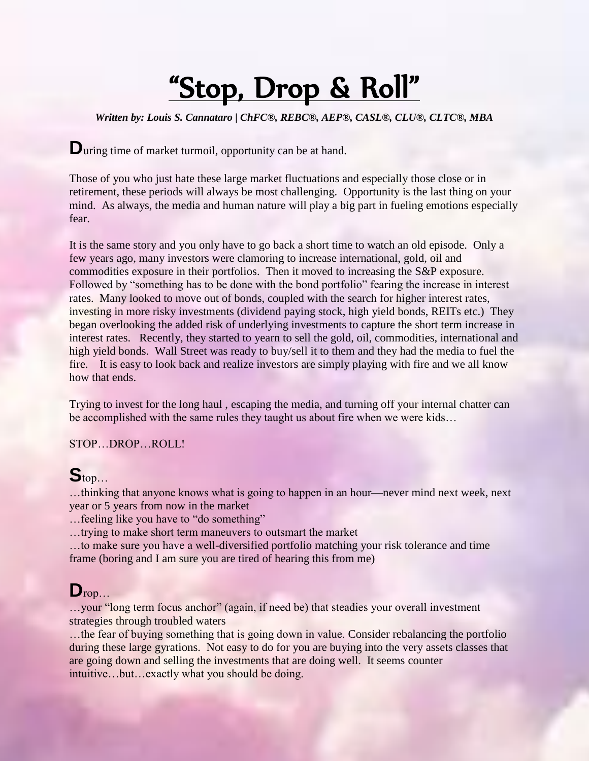# "Stop, Drop & Roll"

*Written by: Louis S. Cannataro | ChFC®, REBC®, AEP®, CASL®, CLU®, CLTC®, MBA*

**D**uring time of market turmoil, opportunity can be at hand.

Those of you who just hate these large market fluctuations and especially those close or in retirement, these periods will always be most challenging. Opportunity is the last thing on your mind. As always, the media and human nature will play a big part in fueling emotions especially fear.

It is the same story and you only have to go back a short time to watch an old episode. Only a few years ago, many investors were clamoring to increase international, gold, oil and commodities exposure in their portfolios. Then it moved to increasing the S&P exposure. Followed by "something has to be done with the bond portfolio" fearing the increase in interest rates. Many looked to move out of bonds, coupled with the search for higher interest rates, investing in more risky investments (dividend paying stock, high yield bonds, REITs etc.) They began overlooking the added risk of underlying investments to capture the short term increase in interest rates. Recently, they started to yearn to sell the gold, oil, commodities, international and high yield bonds. Wall Street was ready to buy/sell it to them and they had the media to fuel the fire. It is easy to look back and realize investors are simply playing with fire and we all know how that ends.

Trying to invest for the long haul , escaping the media, and turning off your internal chatter can be accomplished with the same rules they taught us about fire when we were kids…

STOP…DROP…ROLL!

#### **S**top…

…thinking that anyone knows what is going to happen in an hour—never mind next week, next year or 5 years from now in the market

…feeling like you have to "do something"

…trying to make short term maneuvers to outsmart the market

…to make sure you have a well-diversified portfolio matching your risk tolerance and time frame (boring and I am sure you are tired of hearing this from me)

# $\mathbf{D}_{\text{rop...}}$

…your "long term focus anchor" (again, if need be) that steadies your overall investment strategies through troubled waters

…the fear of buying something that is going down in value. Consider rebalancing the portfolio during these large gyrations. Not easy to do for you are buying into the very assets classes that are going down and selling the investments that are doing well. It seems counter intuitive…but…exactly what you should be doing.